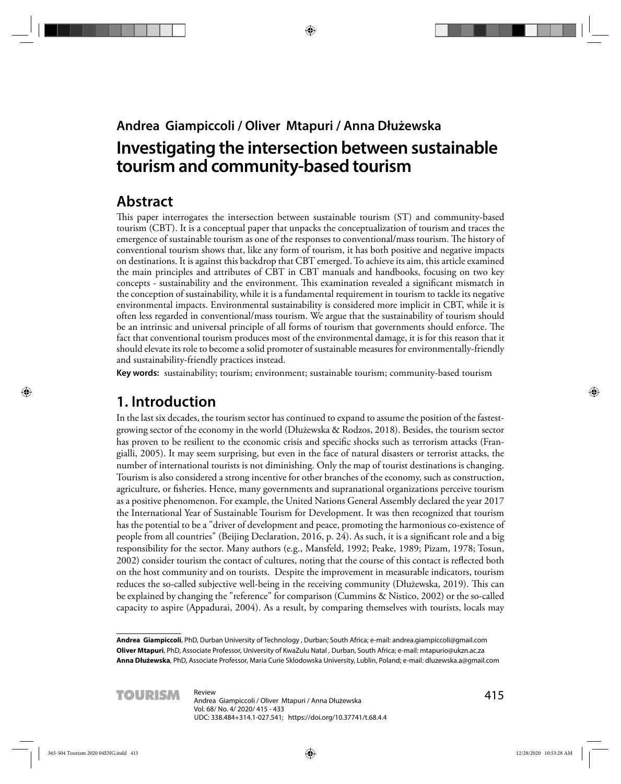## **Andrea Giampiccoli / Oliver Mtapuri / Anna Dłużewska**

# **Investigating the intersection between sustainable tourism and community-based tourism**

# **Abstract**

This paper interrogates the intersection between sustainable tourism (ST) and community-based tourism (CBT). It is a conceptual paper that unpacks the conceptualization of tourism and traces the emergence of sustainable tourism as one of the responses to conventional/mass tourism. The history of conventional tourism shows that, like any form of tourism, it has both positive and negative impacts on destinations. It is against this backdrop that CBT emerged. To achieve its aim, this article examined the main principles and attributes of CBT in CBT manuals and handbooks, focusing on two key concepts - sustainability and the environment. This examination revealed a significant mismatch in the conception of sustainability, while it is a fundamental requirement in tourism to tackle its negative environmental impacts. Environmental sustainability is considered more implicit in CBT, while it is often less regarded in conventional/mass tourism. We argue that the sustainability of tourism should be an intrinsic and universal principle of all forms of tourism that governments should enforce. The fact that conventional tourism produces most of the environmental damage, it is for this reason that it should elevate its role to become a solid promoter of sustainable measures for environmentally-friendly and sustainability-friendly practices instead.

**Key words:** sustainability; tourism; environment; sustainable tourism; community-based tourism

# **1. Introduction**

In the last six decades, the tourism sector has continued to expand to assume the position of the fastestgrowing sector of the economy in the world (Dłużewska & Rodzos, 2018). Besides, the tourism sector has proven to be resilient to the economic crisis and specific shocks such as terrorism attacks (Frangialli, 2005). It may seem surprising, but even in the face of natural disasters or terrorist attacks, the number of international tourists is not diminishing. Only the map of tourist destinations is changing. Tourism is also considered a strong incentive for other branches of the economy, such as construction, agriculture, or fisheries. Hence, many governments and supranational organizations perceive tourism as a positive phenomenon. For example, the United Nations General Assembly declared the year 2017 the International Year of Sustainable Tourism for Development. It was then recognized that tourism has the potential to be a "driver of development and peace, promoting the harmonious co-existence of people from all countries" (Beijing Declaration, 2016, p. 24). As such, it is a significant role and a big responsibility for the sector. Many authors (e.g., Mansfeld, 1992; Peake, 1989; Pizam, 1978; Tosun, 2002) consider tourism the contact of cultures, noting that the course of this contact is reflected both on the host community and on tourists. Despite the improvement in measurable indicators, tourism reduces the so-called subjective well-being in the receiving community (Dłużewska, 2019). This can be explained by changing the "reference" for comparison (Cummins & Nistico, 2002) or the so-called capacity to aspire (Appadurai, 2004). As a result, by comparing themselves with tourists, locals may

**Andrea Giampiccoli**, PhD, Durban University of Technology , Durban; South Africa; e-mail: andrea.giampiccoli@gmail.com **Oliver Mtapuri**, PhD, Associate Professor, University of KwaZulu Natal , Durban, South Africa; e-mail: mtapurio@ukzn.ac.za **Anna Dłużewska**, PhD, Associate Professor, Maria Curie Sklodowska University, Lublin, Poland; e-mail: dluzewska.a@gmail.com

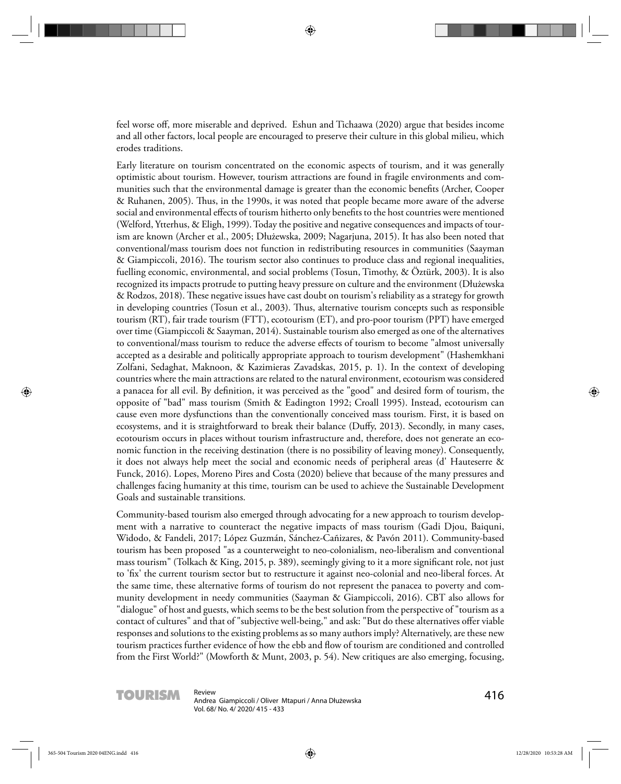feel worse off, more miserable and deprived. Eshun and Tichaawa (2020) argue that besides income and all other factors, local people are encouraged to preserve their culture in this global milieu, which erodes traditions.

Early literature on tourism concentrated on the economic aspects of tourism, and it was generally optimistic about tourism. However, tourism attractions are found in fragile environments and communities such that the environmental damage is greater than the economic benefits (Archer, Cooper & Ruhanen, 2005). Thus, in the 1990s, it was noted that people became more aware of the adverse social and environmental effects of tourism hitherto only benefits to the host countries were mentioned (Welford, Ytterhus, & Eligh, 1999). Today the positive and negative consequences and impacts of tourism are known (Archer et al., 2005; Dłużewska, 2009; Nagarjuna, 2015). It has also been noted that conventional/mass tourism does not function in redistributing resources in communities (Saayman  $\&$  Giampiccoli, 2016). The tourism sector also continues to produce class and regional inequalities, fuelling economic, environmental, and social problems (Tosun, Timothy, & Öztürk, 2003). It is also recognized its impacts protrude to putting heavy pressure on culture and the environment (Dłużewska & Rodzos, 2018). These negative issues have cast doubt on tourism's reliability as a strategy for growth in developing countries (Tosun et al., 2003). Thus, alternative tourism concepts such as responsible tourism (RT), fair trade tourism (FTT), ecotourism (ET), and pro-poor tourism (PPT) have emerged over time (Giampiccoli & Saayman, 2014). Sustainable tourism also emerged as one of the alternatives to conventional/mass tourism to reduce the adverse effects of tourism to become "almost universally accepted as a desirable and politically appropriate approach to tourism development" (Hashemkhani Zolfani, Sedaghat, Maknoon, & Kazimieras Zavadskas, 2015, p. 1). In the context of developing countries where the main attractions are related to the natural environment, ecotourism was considered a panacea for all evil. By definition, it was perceived as the "good" and desired form of tourism, the opposite of "bad" mass tourism (Smith & Eadington 1992; Croall 1995). Instead, ecotourism can cause even more dysfunctions than the conventionally conceived mass tourism. First, it is based on ecosystems, and it is straightforward to break their balance (Duffy, 2013). Secondly, in many cases, ecotourism occurs in places without tourism infrastructure and, therefore, does not generate an economic function in the receiving destination (there is no possibility of leaving money). Consequently, it does not always help meet the social and economic needs of peripheral areas (d' Hauteserre & Funck, 2016). Lopes, Moreno Pires and Costa (2020) believe that because of the many pressures and challenges facing humanity at this time, tourism can be used to achieve the Sustainable Development Goals and sustainable transitions.

Community-based tourism also emerged through advocating for a new approach to tourism development with a narrative to counteract the negative impacts of mass tourism (Gadi Djou, Baiquni, Widodo, & Fandeli, 2017; López Guzmán, Sánchez-Cañizares, & Pavón 2011). Community-based tourism has been proposed "as a counterweight to neo-colonialism, neo-liberalism and conventional mass tourism" (Tolkach & King, 2015, p. 389), seemingly giving to it a more significant role, not just to 'fix' the current tourism sector but to restructure it against neo-colonial and neo-liberal forces. At the same time, these alternative forms of tourism do not represent the panacea to poverty and community development in needy communities (Saayman & Giampiccoli, 2016). CBT also allows for "dialogue" of host and guests, which seems to be the best solution from the perspective of "tourism as a contact of cultures" and that of "subjective well-being," and ask: "But do these alternatives offer viable responses and solutions to the existing problems as so many authors imply? Alternatively, are these new tourism practices further evidence of how the ebb and flow of tourism are conditioned and controlled from the First World?" (Mowforth & Munt, 2003, p. 54). New critiques are also emerging, focusing,

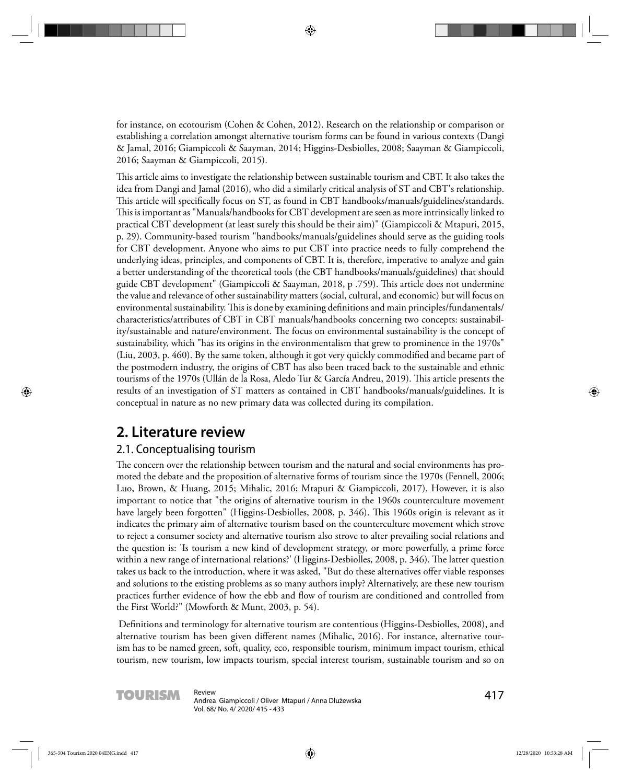for instance, on ecotourism (Cohen & Cohen, 2012). Research on the relationship or comparison or establishing a correlation amongst alternative tourism forms can be found in various contexts (Dangi & Jamal, 2016; Giampiccoli & Saayman, 2014; Higgins-Desbiolles, 2008; Saayman & Giampiccoli, 2016; Saayman & Giampiccoli, 2015).

This article aims to investigate the relationship between sustainable tourism and CBT. It also takes the idea from Dangi and Jamal (2016), who did a similarly critical analysis of ST and CBT's relationship. This article will specifically focus on ST, as found in CBT handbooks/manuals/guidelines/standards. This is important as "Manuals/handbooks for CBT development are seen as more intrinsically linked to practical CBT development (at least surely this should be their aim)" (Giampiccoli & Mtapuri, 2015, p. 29). Community-based tourism "handbooks/manuals/guidelines should serve as the guiding tools for CBT development. Anyone who aims to put CBT into practice needs to fully comprehend the underlying ideas, principles, and components of CBT. It is, therefore, imperative to analyze and gain a better understanding of the theoretical tools (the CBT handbooks/manuals/guidelines) that should guide CBT development" (Giampiccoli & Saayman, 2018, p .759). This article does not undermine the value and relevance of other sustainability matters (social, cultural, and economic) but will focus on environmental sustainability. This is done by examining definitions and main principles/fundamentals/ characteristics/attributes of CBT in CBT manuals/handbooks concerning two concepts: sustainability/sustainable and nature/environment. The focus on environmental sustainability is the concept of sustainability, which "has its origins in the environmentalism that grew to prominence in the 1970s" (Liu, 2003, p. 460). By the same token, although it got very quickly commodified and became part of the postmodern industry, the origins of CBT has also been traced back to the sustainable and ethnic tourisms of the 1970s (Ullán de la Rosa, Aledo Tur & García Andreu, 2019). This article presents the results of an investigation of ST matters as contained in CBT handbooks/manuals/guidelines. It is conceptual in nature as no new primary data was collected during its compilation.

# **2. Literature review**

#### 2.1. Conceptualising tourism

The concern over the relationship between tourism and the natural and social environments has promoted the debate and the proposition of alternative forms of tourism since the 1970s (Fennell, 2006; Luo, Brown, & Huang, 2015; Mihalic, 2016; Mtapuri & Giampiccoli, 2017). However, it is also important to notice that "the origins of alternative tourism in the 1960s counterculture movement have largely been forgotten" (Higgins-Desbiolles, 2008, p. 346). This 1960s origin is relevant as it indicates the primary aim of alternative tourism based on the counterculture movement which strove to reject a consumer society and alternative tourism also strove to alter prevailing social relations and the question is: 'Is tourism a new kind of development strategy, or more powerfully, a prime force within a new range of international relations?' (Higgins-Desbiolles, 2008, p. 346). The latter question takes us back to the introduction, where it was asked, "But do these alternatives offer viable responses and solutions to the existing problems as so many authors imply? Alternatively, are these new tourism practices further evidence of how the ebb and flow of tourism are conditioned and controlled from the First World?" (Mowforth & Munt, 2003, p. 54).

Definitions and terminology for alternative tourism are contentious (Higgins-Desbiolles, 2008), and alternative tourism has been given different names (Mihalic, 2016). For instance, alternative tourism has to be named green, soft, quality, eco, responsible tourism, minimum impact tourism, ethical tourism, new tourism, low impacts tourism, special interest tourism, sustainable tourism and so on

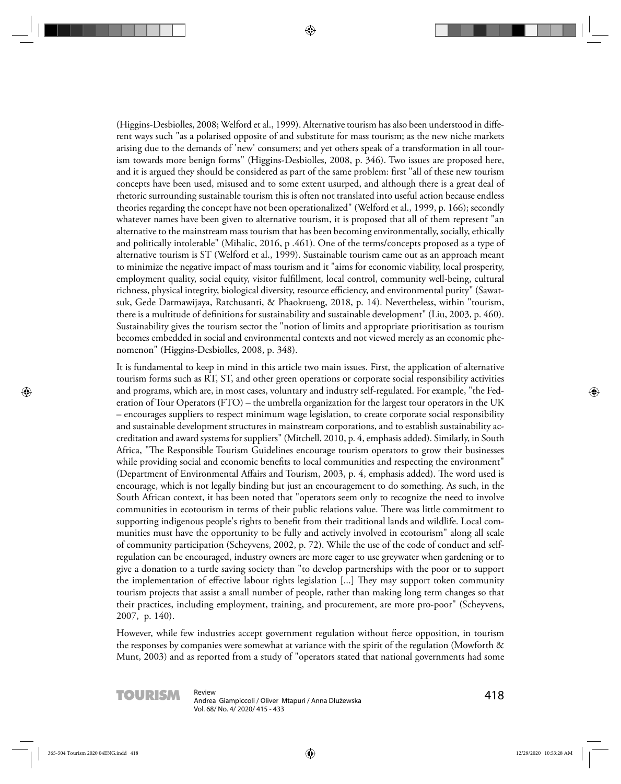(Higgins-Desbiolles, 2008; Welford et al., 1999). Alternative tourism has also been understood in different ways such "as a polarised opposite of and substitute for mass tourism; as the new niche markets arising due to the demands of 'new' consumers; and yet others speak of a transformation in all tourism towards more benign forms" (Higgins-Desbiolles, 2008, p. 346). Two issues are proposed here, and it is argued they should be considered as part of the same problem: first "all of these new tourism concepts have been used, misused and to some extent usurped, and although there is a great deal of rhetoric surrounding sustainable tourism this is often not translated into useful action because endless theories regarding the concept have not been operationalized" (Welford et al., 1999, p. 166); secondly whatever names have been given to alternative tourism, it is proposed that all of them represent "an alternative to the mainstream mass tourism that has been becoming environmentally, socially, ethically and politically intolerable" (Mihalic, 2016, p .461). One of the terms/concepts proposed as a type of alternative tourism is ST (Welford et al., 1999). Sustainable tourism came out as an approach meant to minimize the negative impact of mass tourism and it "aims for economic viability, local prosperity, employment quality, social equity, visitor fulfillment, local control, community well-being, cultural richness, physical integrity, biological diversity, resource efficiency, and environmental purity" (Sawatsuk, Gede Darmawijaya, Ratchusanti, & Phaokrueng, 2018, p. 14). Nevertheless, within "tourism, there is a multitude of definitions for sustainability and sustainable development" (Liu, 2003, p. 460). Sustainability gives the tourism sector the "notion of limits and appropriate prioritisation as tourism becomes embedded in social and environmental contexts and not viewed merely as an economic phenomenon" (Higgins-Desbiolles, 2008, p. 348).

It is fundamental to keep in mind in this article two main issues. First, the application of alternative tourism forms such as RT, ST, and other green operations or corporate social responsibility activities and programs, which are, in most cases, voluntary and industry self-regulated. For example, "the Federation of Tour Operators (FTO) – the umbrella organization for the largest tour operators in the UK – encourages suppliers to respect minimum wage legislation, to create corporate social responsibility and sustainable development structures in mainstream corporations, and to establish sustainability accreditation and award systems for suppliers" (Mitchell, 2010, p. 4, emphasis added). Similarly, in South Africa, "The Responsible Tourism Guidelines encourage tourism operators to grow their businesses while providing social and economic benefits to local communities and respecting the environment" (Department of Environmental Affairs and Tourism, 2003, p. 4, emphasis added). The word used is encourage, which is not legally binding but just an encouragement to do something. As such, in the South African context, it has been noted that "operators seem only to recognize the need to involve communities in ecotourism in terms of their public relations value. There was little commitment to supporting indigenous people's rights to benefit from their traditional lands and wildlife. Local communities must have the opportunity to be fully and actively involved in ecotourism" along all scale of community participation (Scheyvens, 2002, p. 72). While the use of the code of conduct and selfregulation can be encouraged, industry owners are more eager to use greywater when gardening or to give a donation to a turtle saving society than "to develop partnerships with the poor or to support the implementation of effective labour rights legislation [...] They may support token community tourism projects that assist a small number of people, rather than making long term changes so that their practices, including employment, training, and procurement, are more pro-poor" (Scheyvens, 2007, p. 140).

However, while few industries accept government regulation without fierce opposition, in tourism the responses by companies were somewhat at variance with the spirit of the regulation (Mowforth & Munt, 2003) and as reported from a study of "operators stated that national governments had some

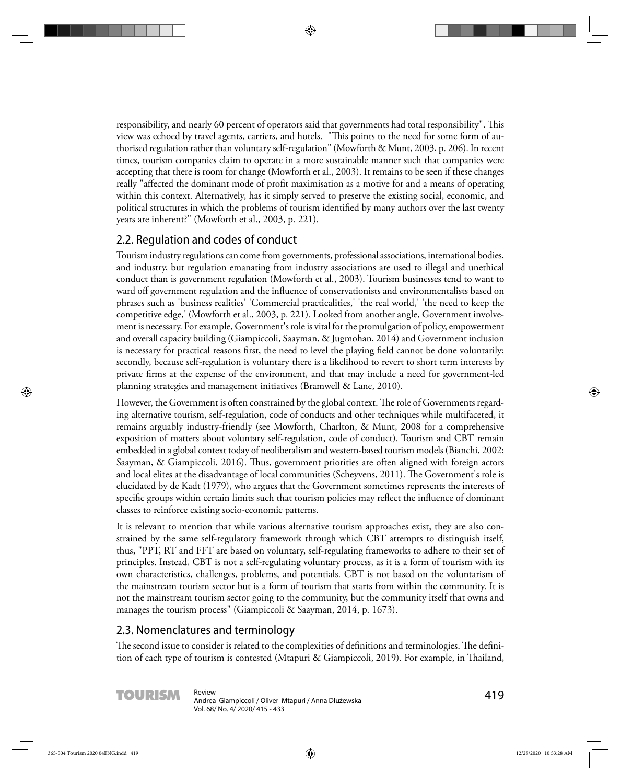responsibility, and nearly 60 percent of operators said that governments had total responsibility". This view was echoed by travel agents, carriers, and hotels. "This points to the need for some form of authorised regulation rather than voluntary self-regulation" (Mowforth & Munt, 2003, p. 206). In recent times, tourism companies claim to operate in a more sustainable manner such that companies were accepting that there is room for change (Mowforth et al., 2003). It remains to be seen if these changes really "affected the dominant mode of profit maximisation as a motive for and a means of operating within this context. Alternatively, has it simply served to preserve the existing social, economic, and political structures in which the problems of tourism identified by many authors over the last twenty years are inherent?" (Mowforth et al., 2003, p. 221).

### 2.2. Regulation and codes of conduct

Tourism industry regulations can come from governments, professional associations, international bodies, and industry, but regulation emanating from industry associations are used to illegal and unethical conduct than is government regulation (Mowforth et al., 2003). Tourism businesses tend to want to ward off government regulation and the influence of conservationists and environmentalists based on phrases such as 'business realities' 'Commercial practicalities,' 'the real world,' 'the need to keep the competitive edge,' (Mowforth et al., 2003, p. 221). Looked from another angle, Government involvement is necessary. For example, Government's role is vital for the promulgation of policy, empowerment and overall capacity building (Giampiccoli, Saayman, & Jugmohan, 2014) and Government inclusion is necessary for practical reasons first, the need to level the playing field cannot be done voluntarily; secondly, because self-regulation is voluntary there is a likelihood to revert to short term interests by private firms at the expense of the environment, and that may include a need for government-led planning strategies and management initiatives (Bramwell & Lane, 2010).

However, the Government is often constrained by the global context. The role of Governments regarding alternative tourism, self-regulation, code of conducts and other techniques while multifaceted, it remains arguably industry-friendly (see Mowforth, Charlton, & Munt, 2008 for a comprehensive exposition of matters about voluntary self-regulation, code of conduct). Tourism and CBT remain embedded in a global context today of neoliberalism and western-based tourism models (Bianchi, 2002; Saayman, & Giampiccoli, 2016). Thus, government priorities are often aligned with foreign actors and local elites at the disadvantage of local communities (Scheyvens, 2011). The Government's role is elucidated by de Kadt (1979), who argues that the Government sometimes represents the interests of specific groups within certain limits such that tourism policies may reflect the influence of dominant classes to reinforce existing socio-economic patterns.

It is relevant to mention that while various alternative tourism approaches exist, they are also constrained by the same self-regulatory framework through which CBT attempts to distinguish itself, thus, "PPT, RT and FFT are based on voluntary, self-regulating frameworks to adhere to their set of principles. Instead, CBT is not a self-regulating voluntary process, as it is a form of tourism with its own characteristics, challenges, problems, and potentials. CBT is not based on the voluntarism of the mainstream tourism sector but is a form of tourism that starts from within the community. It is not the mainstream tourism sector going to the community, but the community itself that owns and manages the tourism process" (Giampiccoli & Saayman, 2014, p. 1673).

### 2.3. Nomenclatures and terminology

The second issue to consider is related to the complexities of definitions and terminologies. The definition of each type of tourism is contested (Mtapuri & Giampiccoli, 2019). For example, in Thailand,

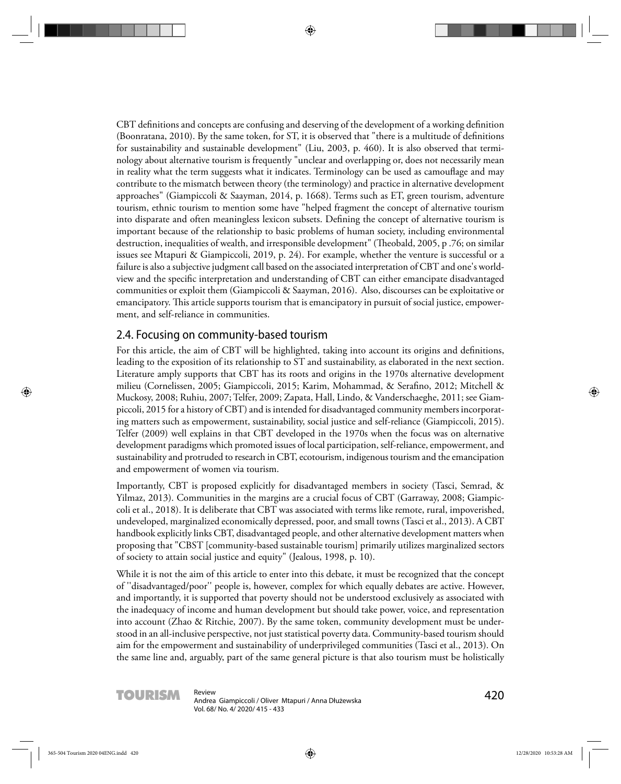CBT definitions and concepts are confusing and deserving of the development of a working definition (Boonratana, 2010). By the same token, for  $ST$ , it is observed that "there is a multitude of definitions for sustainability and sustainable development" (Liu, 2003, p. 460). It is also observed that terminology about alternative tourism is frequently "unclear and overlapping or, does not necessarily mean in reality what the term suggests what it indicates. Terminology can be used as camouflage and may contribute to the mismatch between theory (the terminology) and practice in alternative development approaches" (Giampiccoli & Saayman, 2014, p. 1668). Terms such as ET, green tourism, adventure tourism, ethnic tourism to mention some have "helped fragment the concept of alternative tourism into disparate and often meaningless lexicon subsets. Defining the concept of alternative tourism is important because of the relationship to basic problems of human society, including environmental destruction, inequalities of wealth, and irresponsible development" (Th eobald, 2005, p .76; on similar issues see Mtapuri & Giampiccoli, 2019, p. 24). For example, whether the venture is successful or a failure is also a subjective judgment call based on the associated interpretation of CBT and one's worldview and the specific interpretation and understanding of CBT can either emancipate disadvantaged communities or exploit them (Giampiccoli & Saayman, 2016). Also, discourses can be exploitative or emancipatory. This article supports tourism that is emancipatory in pursuit of social justice, empowerment, and self-reliance in communities.

#### 2.4. Focusing on community-based tourism

For this article, the aim of CBT will be highlighted, taking into account its origins and definitions, leading to the exposition of its relationship to ST and sustainability, as elaborated in the next section. Literature amply supports that CBT has its roots and origins in the 1970s alternative development milieu (Cornelissen, 2005; Giampiccoli, 2015; Karim, Mohammad, & Serafino, 2012; Mitchell & Muckosy, 2008; Ruhiu, 2007; Telfer, 2009; Zapata, Hall, Lindo, & Vanderschaeghe, 2011; see Giampiccoli, 2015 for a history of CBT) and is intended for disadvantaged community members incorporating matters such as empowerment, sustainability, social justice and self-reliance (Giampiccoli, 2015). Telfer (2009) well explains in that CBT developed in the 1970s when the focus was on alternative development paradigms which promoted issues of local participation, self-reliance, empowerment, and sustainability and protruded to research in CBT, ecotourism, indigenous tourism and the emancipation and empowerment of women via tourism.

Importantly, CBT is proposed explicitly for disadvantaged members in society (Tasci, Semrad, & Yilmaz, 2013). Communities in the margins are a crucial focus of CBT (Garraway, 2008; Giampiccoli et al., 2018). It is deliberate that CBT was associated with terms like remote, rural, impoverished, undeveloped, marginalized economically depressed, poor, and small towns (Tasci et al., 2013). A CBT handbook explicitly links CBT, disadvantaged people, and other alternative development matters when proposing that "CBST [community-based sustainable tourism] primarily utilizes marginalized sectors of society to attain social justice and equity" (Jealous, 1998, p. 10).

While it is not the aim of this article to enter into this debate, it must be recognized that the concept of ''disadvantaged/poor'' people is, however, complex for which equally debates are active. However, and importantly, it is supported that poverty should not be understood exclusively as associated with the inadequacy of income and human development but should take power, voice, and representation into account (Zhao & Ritchie, 2007). By the same token, community development must be understood in an all-inclusive perspective, not just statistical poverty data. Community-based tourism should aim for the empowerment and sustainability of underprivileged communities (Tasci et al., 2013). On the same line and, arguably, part of the same general picture is that also tourism must be holistically

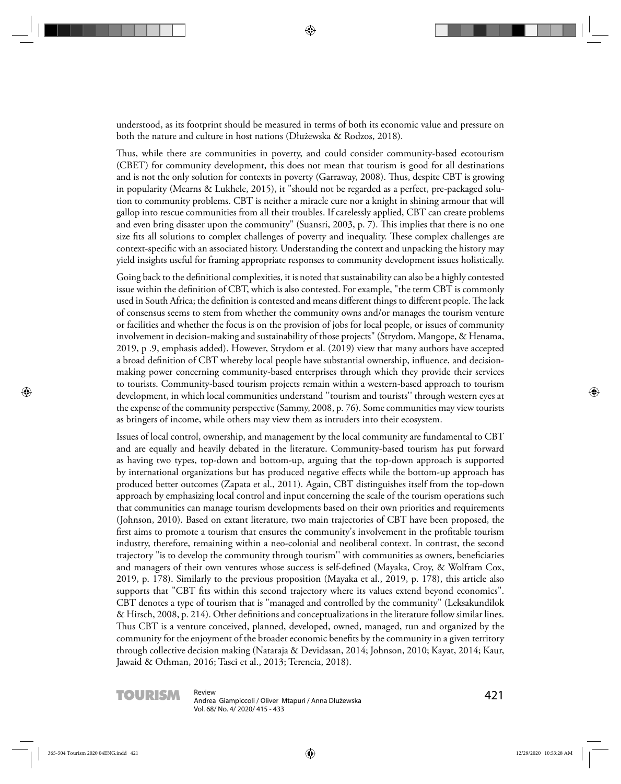understood, as its footprint should be measured in terms of both its economic value and pressure on both the nature and culture in host nations (Dłużewska & Rodzos, 2018).

Thus, while there are communities in poverty, and could consider community-based ecotourism (CBET) for community development, this does not mean that tourism is good for all destinations and is not the only solution for contexts in poverty (Garraway, 2008). Thus, despite CBT is growing in popularity (Mearns & Lukhele, 2015), it "should not be regarded as a perfect, pre-packaged solution to community problems. CBT is neither a miracle cure nor a knight in shining armour that will gallop into rescue communities from all their troubles. If carelessly applied, CBT can create problems and even bring disaster upon the community" (Suansri, 2003, p. 7). This implies that there is no one size fits all solutions to complex challenges of poverty and inequality. These complex challenges are context-specific with an associated history. Understanding the context and unpacking the history may yield insights useful for framing appropriate responses to community development issues holistically.

Going back to the definitional complexities, it is noted that sustainability can also be a highly contested issue within the definition of CBT, which is also contested. For example, "the term CBT is commonly used in South Africa; the definition is contested and means different things to different people. The lack of consensus seems to stem from whether the community owns and/or manages the tourism venture or facilities and whether the focus is on the provision of jobs for local people, or issues of community involvement in decision-making and sustainability of those projects" (Strydom, Mangope, & Henama, 2019, p .9, emphasis added). However, Strydom et al. (2019) view that many authors have accepted a broad definition of CBT whereby local people have substantial ownership, influence, and decisionmaking power concerning community-based enterprises through which they provide their services to tourists. Community-based tourism projects remain within a western-based approach to tourism development, in which local communities understand ''tourism and tourists'' through western eyes at the expense of the community perspective (Sammy, 2008, p. 76). Some communities may view tourists as bringers of income, while others may view them as intruders into their ecosystem.

Issues of local control, ownership, and management by the local community are fundamental to CBT and are equally and heavily debated in the literature. Community-based tourism has put forward as having two types, top-down and bottom-up, arguing that the top-down approach is supported by international organizations but has produced negative effects while the bottom-up approach has produced better outcomes (Zapata et al., 2011). Again, CBT distinguishes itself from the top-down approach by emphasizing local control and input concerning the scale of the tourism operations such that communities can manage tourism developments based on their own priorities and requirements (Johnson, 2010). Based on extant literature, two main trajectories of CBT have been proposed, the first aims to promote a tourism that ensures the community's involvement in the profitable tourism industry, therefore, remaining within a neo-colonial and neoliberal context. In contrast, the second trajectory "is to develop the community through tourism" with communities as owners, beneficiaries and managers of their own ventures whose success is self-defined (Mayaka, Croy, & Wolfram Cox, 2019, p. 178). Similarly to the previous proposition (Mayaka et al., 2019, p. 178), this article also supports that "CBT fits within this second trajectory where its values extend beyond economics". CBT denotes a type of tourism that is "managed and controlled by the community" (Leksakundilok & Hirsch, 2008, p. 214). Other definitions and conceptualizations in the literature follow similar lines. Thus CBT is a venture conceived, planned, developed, owned, managed, run and organized by the community for the enjoyment of the broader economic benefits by the community in a given territory through collective decision making (Nataraja & Devidasan, 2014; Johnson, 2010; Kayat, 2014; Kaur, Jawaid & Othman, 2016; Tasci et al., 2013; Terencia, 2018).



**TOURISM** Review<br>Andrea Giampiccoli / Oliver Mtapuri / Anna Dłużewska<br>**Annald Družewska** Vol. 68/ No. 4/ 2020/ 415 - 433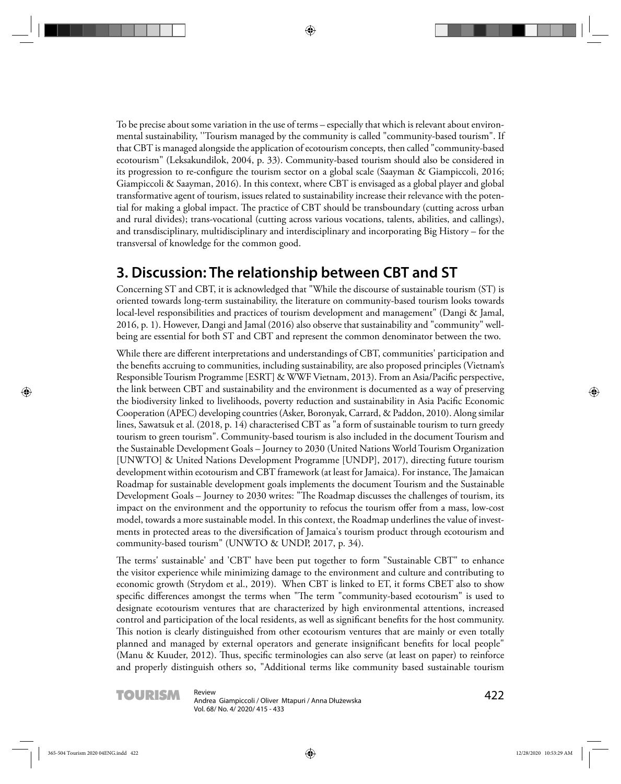To be precise about some variation in the use of terms – especially that which is relevant about environmental sustainability, ''Tourism managed by the community is called "community-based tourism". If that CBT is managed alongside the application of ecotourism concepts, then called "community-based ecotourism" (Leksakundilok, 2004, p. 33). Community-based tourism should also be considered in its progression to re-configure the tourism sector on a global scale (Saayman & Giampiccoli, 2016; Giampiccoli & Saayman, 2016). In this context, where CBT is envisaged as a global player and global transformative agent of tourism, issues related to sustainability increase their relevance with the potential for making a global impact. The practice of CBT should be transboundary (cutting across urban and rural divides); trans-vocational (cutting across various vocations, talents, abilities, and callings), and transdisciplinary, multidisciplinary and interdisciplinary and incorporating Big History – for the transversal of knowledge for the common good.

# **3. Discussion: The relationship between CBT and ST**

Concerning ST and CBT, it is acknowledged that "While the discourse of sustainable tourism (ST) is oriented towards long-term sustainability, the literature on community-based tourism looks towards local-level responsibilities and practices of tourism development and management" (Dangi & Jamal, 2016, p. 1). However, Dangi and Jamal (2016) also observe that sustainability and "community" wellbeing are essential for both ST and CBT and represent the common denominator between the two.

While there are different interpretations and understandings of CBT, communities' participation and the benefits accruing to communities, including sustainability, are also proposed principles (Vietnam's Responsible Tourism Programme [ESRT] & WWF Vietnam, 2013). From an Asia/Pacific perspective, the link between CBT and sustainability and the environment is documented as a way of preserving the biodiversity linked to livelihoods, poverty reduction and sustainability in Asia Pacific Economic Cooperation (APEC) developing countries (Asker, Boronyak, Carrard, & Paddon, 2010). Along similar lines, Sawatsuk et al. (2018, p. 14) characterised CBT as "a form of sustainable tourism to turn greedy tourism to green tourism". Community-based tourism is also included in the document Tourism and the Sustainable Development Goals – Journey to 2030 (United Nations World Tourism Organization [UNWTO] & United Nations Development Programme [UNDP], 2017), directing future tourism development within ecotourism and CBT framework (at least for Jamaica). For instance, The Jamaican Roadmap for sustainable development goals implements the document Tourism and the Sustainable Development Goals – Journey to 2030 writes: "The Roadmap discusses the challenges of tourism, its impact on the environment and the opportunity to refocus the tourism offer from a mass, low-cost model, towards a more sustainable model. In this context, the Roadmap underlines the value of investments in protected areas to the diversification of Jamaica's tourism product through ecotourism and community-based tourism" (UNWTO & UNDP, 2017, p. 34).

The terms' sustainable' and 'CBT' have been put together to form "Sustainable CBT" to enhance the visitor experience while minimizing damage to the environment and culture and contributing to economic growth (Strydom et al., 2019). When CBT is linked to ET, it forms CBET also to show specific differences amongst the terms when "The term "community-based ecotourism" is used to designate ecotourism ventures that are characterized by high environmental attentions, increased control and participation of the local residents, as well as significant benefits for the host community. This notion is clearly distinguished from other ecotourism ventures that are mainly or even totally planned and managed by external operators and generate insignificant benefits for local people" (Manu & Kuuder, 2012). Thus, specific terminologies can also serve (at least on paper) to reinforce and properly distinguish others so, "Additional terms like community based sustainable tourism

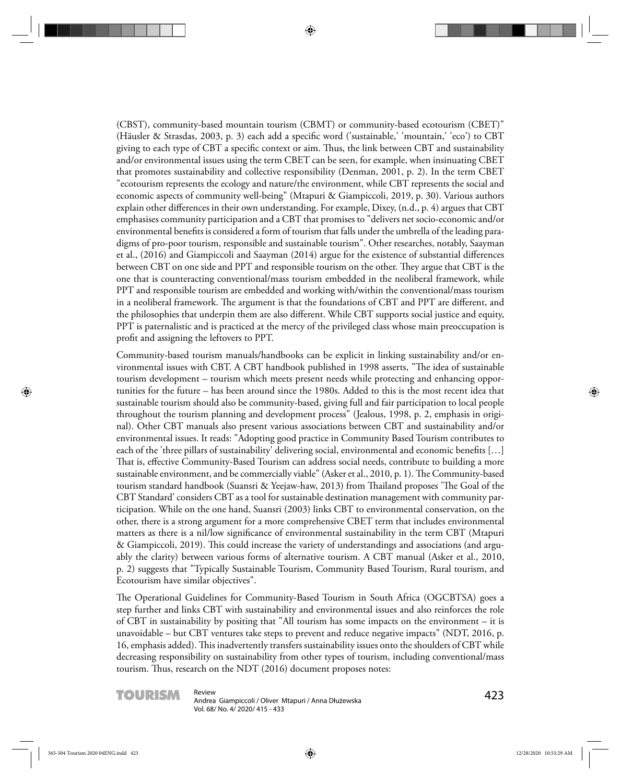(CBST), community-based mountain tourism (CBMT) or community-based ecotourism (CBET)" (Häusler & Strasdas, 2003, p. 3) each add a specific word ('sustainable,' 'mountain,' 'eco') to CBT giving to each type of CBT a specific context or aim. Thus, the link between CBT and sustainability and/or environmental issues using the term CBET can be seen, for example, when insinuating CBET that promotes sustainability and collective responsibility (Denman, 2001, p. 2). In the term CBET "ecotourism represents the ecology and nature/the environment, while CBT represents the social and economic aspects of community well-being" (Mtapuri & Giampiccoli, 2019, p. 30). Various authors explain other differences in their own understanding. For example, Dixey,  $(n.d., p. 4)$  argues that CBT emphasises community participation and a CBT that promises to "delivers net socio-economic and/or environmental benefits is considered a form of tourism that falls under the umbrella of the leading paradigms of pro-poor tourism, responsible and sustainable tourism". Other researches, notably, Saayman et al., (2016) and Giampiccoli and Saayman (2014) argue for the existence of substantial differences between CBT on one side and PPT and responsible tourism on the other. They argue that CBT is the one that is counteracting conventional/mass tourism embedded in the neoliberal framework, while PPT and responsible tourism are embedded and working with/within the conventional/mass tourism in a neoliberal framework. The argument is that the foundations of CBT and PPT are different, and the philosophies that underpin them are also different. While CBT supports social justice and equity, PPT is paternalistic and is practiced at the mercy of the privileged class whose main preoccupation is profit and assigning the leftovers to PPT.

Community-based tourism manuals/handbooks can be explicit in linking sustainability and/or environmental issues with CBT. A CBT handbook published in 1998 asserts, "The idea of sustainable tourism development – tourism which meets present needs while protecting and enhancing opportunities for the future – has been around since the 1980s. Added to this is the most recent idea that sustainable tourism should also be community-based, giving full and fair participation to local people throughout the tourism planning and development process" (Jealous, 1998, p. 2, emphasis in original). Other CBT manuals also present various associations between CBT and sustainability and/or environmental issues. It reads: "Adopting good practice in Community Based Tourism contributes to each of the 'three pillars of sustainability' delivering social, environmental and economic benefits [...] That is, effective Community-Based Tourism can address social needs, contribute to building a more sustainable environment, and be commercially viable" (Asker et al., 2010, p. 1). The Community-based tourism standard handbook (Suansri & Yeejaw-haw, 2013) from Thailand proposes 'The Goal of the CBT Standard' considers CBT as a tool for sustainable destination management with community participation. While on the one hand, Suansri (2003) links CBT to environmental conservation, on the other, there is a strong argument for a more comprehensive CBET term that includes environmental matters as there is a nil/low significance of environmental sustainability in the term CBT (Mtapuri & Giampiccoli, 2019). This could increase the variety of understandings and associations (and arguably the clarity) between various forms of alternative tourism. A CBT manual (Asker et al., 2010, p. 2) suggests that "Typically Sustainable Tourism, Community Based Tourism, Rural tourism, and Ecotourism have similar objectives".

The Operational Guidelines for Community-Based Tourism in South Africa (OGCBTSA) goes a step further and links CBT with sustainability and environmental issues and also reinforces the role of CBT in sustainability by positing that "All tourism has some impacts on the environment – it is unavoidable – but CBT ventures take steps to prevent and reduce negative impacts" (NDT, 2016, p. 16, emphasis added). This inadvertently transfers sustainability issues onto the shoulders of CBT while decreasing responsibility on sustainability from other types of tourism, including conventional/mass tourism. Thus, research on the  $NDT$  (2016) document proposes notes:

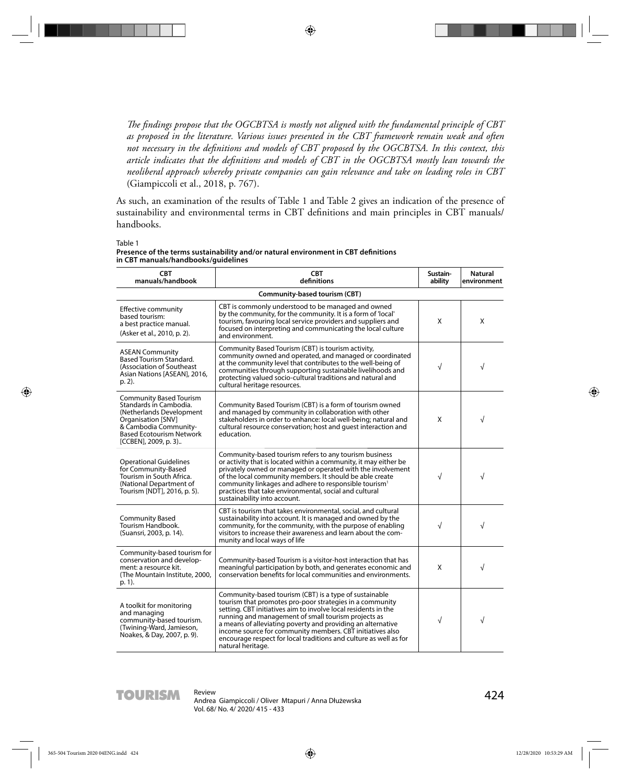The findings propose that the OGCBTSA is mostly not aligned with the fundamental principle of CBT *as proposed in the literature. Various issues presented in the CBT framework remain weak and often*  not necessary in the definitions and models of CBT proposed by the OGCBTSA. In this context, this article indicates that the definitions and models of CBT in the OGCBTSA mostly lean towards the *neoliberal approach whereby private companies can gain relevance and take on leading roles in CBT*  (Giampiccoli et al., 2018, p. 767).

As such, an examination of the results of Table 1 and Table 2 gives an indication of the presence of sustainability and environmental terms in CBT definitions and main principles in CBT manuals/ handbooks.

Table 1

| Presence of the terms sustainability and/or natural environment in CBT definitions |  |
|------------------------------------------------------------------------------------|--|
| in CBT manuals/handbooks/guidelines                                                |  |

| <b>CBT</b><br>manuals/handbook                                                                                                                                                           | <b>CBT</b><br>definitions                                                                                                                                                                                                                                                                                                                                                                                                                                         | Sustain-<br>ability | <b>Natural</b><br>environment |
|------------------------------------------------------------------------------------------------------------------------------------------------------------------------------------------|-------------------------------------------------------------------------------------------------------------------------------------------------------------------------------------------------------------------------------------------------------------------------------------------------------------------------------------------------------------------------------------------------------------------------------------------------------------------|---------------------|-------------------------------|
|                                                                                                                                                                                          | Community-based tourism (CBT)                                                                                                                                                                                                                                                                                                                                                                                                                                     |                     |                               |
| Effective community<br>based tourism:<br>a best practice manual.<br>(Asker et al., 2010, p. 2).                                                                                          | CBT is commonly understood to be managed and owned<br>by the community, for the community. It is a form of 'local'<br>tourism, favouring local service providers and suppliers and<br>focused on interpreting and communicating the local culture<br>and environment.                                                                                                                                                                                             | X                   | X                             |
| <b>ASEAN Community</b><br><b>Based Tourism Standard.</b><br>(Association of Southeast)<br>Asian Nations [ASEAN], 2016,<br>p. 2).                                                         | Community Based Tourism (CBT) is tourism activity,<br>community owned and operated, and managed or coordinated<br>at the community level that contributes to the well-being of<br>communities through supporting sustainable livelihoods and<br>protecting valued socio-cultural traditions and natural and<br>cultural heritage resources.                                                                                                                       | $\sqrt{}$           | $\sqrt{}$                     |
| Community Based Tourism<br>Standards in Cambodia.<br>(Netherlands Development)<br>Organisation [SNV]<br>& Cambodia Community-<br><b>Based Ecotourism Network</b><br>[CCBEN], 2009, p. 3) | Community Based Tourism (CBT) is a form of tourism owned<br>and managed by community in collaboration with other<br>stakeholders in order to enhance: local well-being; natural and<br>cultural resource conservation; host and quest interaction and<br>education.                                                                                                                                                                                               | X                   | $\sqrt{}$                     |
| <b>Operational Guidelines</b><br>for Community-Based<br>Tourism in South Africa.<br>(National Department of<br>Tourism [NDT], 2016, p. 5).                                               | Community-based tourism refers to any tourism business<br>or activity that is located within a community, it may either be<br>privately owned or managed or operated with the involvement<br>of the local community members. It should be able create<br>community linkages and adhere to responsible tourism <sup>1</sup><br>practices that take environmental, social and cultural<br>sustainability into account.                                              | $\sqrt{}$           | $\sqrt{}$                     |
| <b>Community Based</b><br>Tourism Handbook.<br>(Suansri, 2003, p. 14).                                                                                                                   | CBT is tourism that takes environmental, social, and cultural<br>sustainability into account. It is managed and owned by the<br>community, for the community, with the purpose of enabling<br>visitors to increase their awareness and learn about the com-<br>munity and local ways of life                                                                                                                                                                      | $\sqrt{2}$          | $\sqrt{ }$                    |
| Community-based tourism for<br>conservation and develop-<br>ment: a resource kit.<br>(The Mountain Institute, 2000,<br>p. 1).                                                            | Community-based Tourism is a visitor-host interaction that has<br>meaningful participation by both, and generates economic and<br>conservation benefits for local communities and environments.                                                                                                                                                                                                                                                                   | X                   | $\sqrt{}$                     |
| A toolkit for monitoring<br>and managing<br>community-based tourism.<br>(Twining-Ward, Jamieson,<br>Noakes, & Day, 2007, p. 9).                                                          | Community-based tourism (CBT) is a type of sustainable<br>tourism that promotes pro-poor strategies in a community<br>setting. CBT initiatives aim to involve local residents in the<br>running and management of small tourism projects as<br>a means of alleviating poverty and providing an alternative<br>income source for community members. CBT initiatives also<br>encourage respect for local traditions and culture as well as for<br>natural heritage. | √                   | $\sqrt{}$                     |

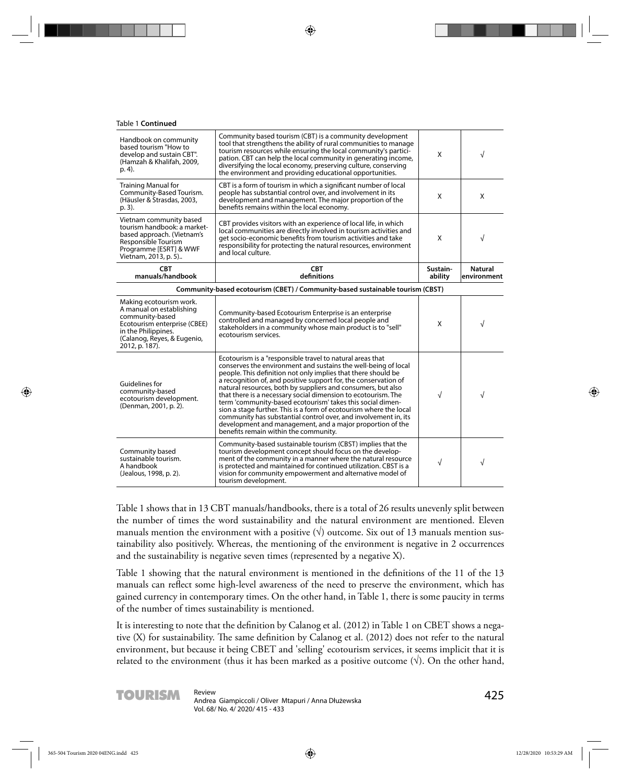#### Table 1 **Continued**

| Handbook on community<br>based tourism "How to<br>develop and sustain CBT".<br>(Hamzah & Khalifah, 2009,<br>p. 4.                                                              | Community based tourism (CBT) is a community development<br>tool that strengthens the ability of rural communities to manage<br>tourism resources while ensuring the local community's partici-<br>pation. CBT can help the local community in generating income,<br>diversifying the local economy, preserving culture, conserving<br>the environment and providing educational opportunities.                                                                                                                                                                                                                                                                                                               | X                   | $\sqrt{}$              |
|--------------------------------------------------------------------------------------------------------------------------------------------------------------------------------|---------------------------------------------------------------------------------------------------------------------------------------------------------------------------------------------------------------------------------------------------------------------------------------------------------------------------------------------------------------------------------------------------------------------------------------------------------------------------------------------------------------------------------------------------------------------------------------------------------------------------------------------------------------------------------------------------------------|---------------------|------------------------|
| <b>Training Manual for</b><br>Community-Based Tourism.<br>(Häusler & Strasdas, 2003,<br>p. 3).                                                                                 | CBT is a form of tourism in which a significant number of local<br>people has substantial control over, and involvement in its<br>development and management. The major proportion of the<br>benefits remains within the local economy.                                                                                                                                                                                                                                                                                                                                                                                                                                                                       | X                   | X                      |
| Vietnam community based<br>tourism handbook: a market-<br>based approach. (Vietnam's<br>Responsible Tourism<br>Programme [ESRT] & WWF<br>Vietnam, 2013, p. 5)                  | CBT provides visitors with an experience of local life, in which<br>local communities are directly involved in tourism activities and<br>get socio-economic benefits from tourism activities and take<br>responsibility for protecting the natural resources, environment<br>and local culture.                                                                                                                                                                                                                                                                                                                                                                                                               | X                   | $\sqrt{}$              |
| <b>CBT</b><br>manuals/handbook                                                                                                                                                 | <b>CBT</b><br>definitions                                                                                                                                                                                                                                                                                                                                                                                                                                                                                                                                                                                                                                                                                     | Sustain-<br>ability | Natural<br>environment |
|                                                                                                                                                                                | Community-based ecotourism (CBET) / Community-based sustainable tourism (CBST)                                                                                                                                                                                                                                                                                                                                                                                                                                                                                                                                                                                                                                |                     |                        |
| Making ecotourism work.<br>A manual on establishing<br>community-based<br>Ecotourism enterprise (CBEE)<br>in the Philippines.<br>(Calanog, Reyes, & Eugenio,<br>2012, p. 187). | Community-based Ecotourism Enterprise is an enterprise<br>controlled and managed by concerned local people and<br>stakeholders in a community whose main product is to "sell"<br>ecotourism services.                                                                                                                                                                                                                                                                                                                                                                                                                                                                                                         | X                   | $\sqrt{ }$             |
| Guidelines for<br>community-based<br>ecotourism development.<br>(Denman, 2001, p. 2).                                                                                          | Ecotourism is a "responsible travel to natural areas that<br>conserves the environment and sustains the well-being of local<br>people. This definition not only implies that there should be<br>a recognition of, and positive support for, the conservation of<br>natural resources, both by suppliers and consumers, but also<br>that there is a necessary social dimension to ecotourism. The<br>term 'community-based ecotourism' takes this social dimen-<br>sion a stage further. This is a form of ecotourism where the local<br>community has substantial control over, and involvement in, its<br>development and management, and a major proportion of the<br>benefits remain within the community. | $\sqrt{}$           | $\sqrt{ }$             |
| Community based<br>sustainable tourism.<br>A handbook<br>(Jealous, 1998, p. 2).                                                                                                | Community-based sustainable tourism (CBST) implies that the<br>tourism development concept should focus on the develop-<br>ment of the community in a manner where the natural resource<br>is protected and maintained for continued utilization. CBST is a<br>vision for community empowerment and alternative model of<br>tourism development.                                                                                                                                                                                                                                                                                                                                                              | $\sqrt{}$           | $\sqrt{}$              |

Table 1 shows that in 13 CBT manuals/handbooks, there is a total of 26 results unevenly split between the number of times the word sustainability and the natural environment are mentioned. Eleven manuals mention the environment with a positive  $(\forall)$  outcome. Six out of 13 manuals mention sustainability also positively. Whereas, the mentioning of the environment is negative in 2 occurrences and the sustainability is negative seven times (represented by a negative X).

Table 1 showing that the natural environment is mentioned in the definitions of the 11 of the 13 manuals can reflect some high-level awareness of the need to preserve the environment, which has gained currency in contemporary times. On the other hand, in Table 1, there is some paucity in terms of the number of times sustainability is mentioned.

It is interesting to note that the definition by Calanog et al. (2012) in Table 1 on CBET shows a negative  $(X)$  for sustainability. The same definition by Calanog et al. (2012) does not refer to the natural environment, but because it being CBET and 'selling' ecotourism services, it seems implicit that it is related to the environment (thus it has been marked as a positive outcome  $(\vee)$ ). On the other hand,

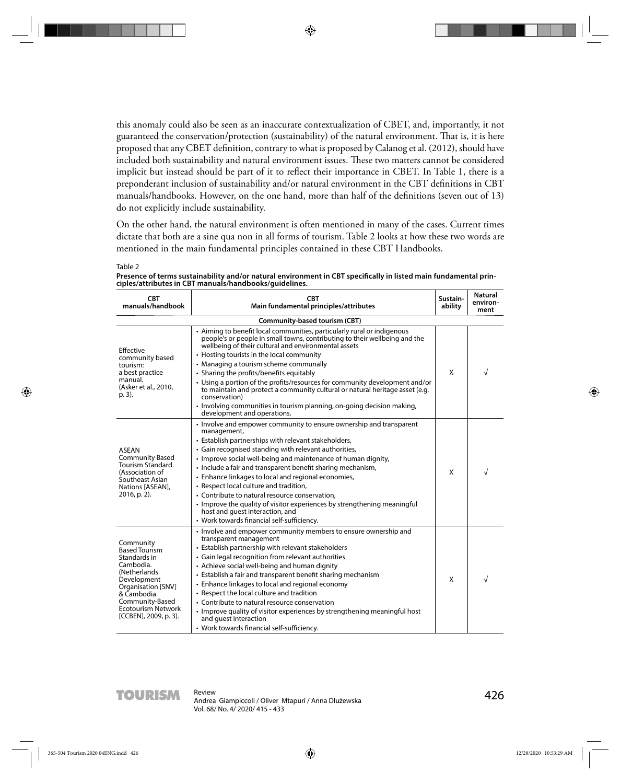this anomaly could also be seen as an inaccurate contextualization of CBET, and, importantly, it not guaranteed the conservation/protection (sustainability) of the natural environment. That is, it is here proposed that any CBET definition, contrary to what is proposed by Calanog et al. (2012), should have included both sustainability and natural environment issues. These two matters cannot be considered implicit but instead should be part of it to reflect their importance in CBET. In Table 1, there is a preponderant inclusion of sustainability and/or natural environment in the CBT definitions in CBT manuals/handbooks. However, on the one hand, more than half of the definitions (seven out of 13) do not explicitly include sustainability.

On the other hand, the natural environment is often mentioned in many of the cases. Current times dictate that both are a sine qua non in all forms of tourism. Table 2 looks at how these two words are mentioned in the main fundamental principles contained in these CBT Handbooks.

Table 2 Presence of terms sustainability and/or natural environment in CBT specifically in listed main fundamental prin**ciples/attributes in CBT manuals/handbooks/guidelines.**

| <b>CBT</b><br>manuals/handbook                                                                                                                                                                              | <b>CBT</b><br>Main fundamental principles/attributes                                                                                                                                                                                                                                                                                                                                                                                                                                                                                                                                                                                                | Sustain-<br>ability | <b>Natural</b><br>environ-<br>ment |
|-------------------------------------------------------------------------------------------------------------------------------------------------------------------------------------------------------------|-----------------------------------------------------------------------------------------------------------------------------------------------------------------------------------------------------------------------------------------------------------------------------------------------------------------------------------------------------------------------------------------------------------------------------------------------------------------------------------------------------------------------------------------------------------------------------------------------------------------------------------------------------|---------------------|------------------------------------|
|                                                                                                                                                                                                             | Community-based tourism (CBT)                                                                                                                                                                                                                                                                                                                                                                                                                                                                                                                                                                                                                       |                     |                                    |
| Effective<br>community based<br>tourism:<br>a best practice<br>manual.<br>(Asker et al., 2010,<br>p. 3).                                                                                                    | • Aiming to benefit local communities, particularly rural or indigenous<br>people's or people in small towns, contributing to their wellbeing and the<br>wellbeing of their cultural and environmental assets<br>• Hosting tourists in the local community<br>• Managing a tourism scheme communally<br>• Sharing the profits/benefits equitably<br>• Using a portion of the profits/resources for community development and/or<br>to maintain and protect a community cultural or natural heritage asset (e.g.<br>conservation)<br>• Involving communities in tourism planning, on-going decision making,<br>development and operations.           | X                   | $\sqrt{}$                          |
| <b>ASEAN</b><br><b>Community Based</b><br>Tourism Standard.<br>(Association of<br>Southeast Asian<br>Nations [ASEAN],<br>2016, p. 2).                                                                       | • Involve and empower community to ensure ownership and transparent<br>management,<br>• Establish partnerships with relevant stakeholders,<br>• Gain recognised standing with relevant authorities,<br>• Improve social well-being and maintenance of human dignity,<br>• Include a fair and transparent benefit sharing mechanism,<br>• Enhance linkages to local and regional economies,<br>• Respect local culture and tradition,<br>• Contribute to natural resource conservation,<br>• Improve the quality of visitor experiences by strengthening meaningful<br>host and quest interaction, and<br>• Work towards financial self-sufficiency. | X                   | $\sqrt{}$                          |
| Community<br><b>Based Tourism</b><br>Standards in<br>Cambodia.<br>(Netherlands)<br>Development<br>Organisation [SNV]<br>& Cambodia<br>Community-Based<br><b>Ecotourism Network</b><br>[CCBEN], 2009, p. 3). | • Involve and empower community members to ensure ownership and<br>transparent management<br>• Establish partnership with relevant stakeholders<br>• Gain legal recognition from relevant authorities<br>• Achieve social well-being and human dignity<br>• Establish a fair and transparent benefit sharing mechanism<br>• Enhance linkages to local and regional economy<br>• Respect the local culture and tradition<br>• Contribute to natural resource conservation<br>• Improve quality of visitor experiences by strengthening meaningful host<br>and quest interaction<br>• Work towards financial self-sufficiency.                        | X                   |                                    |

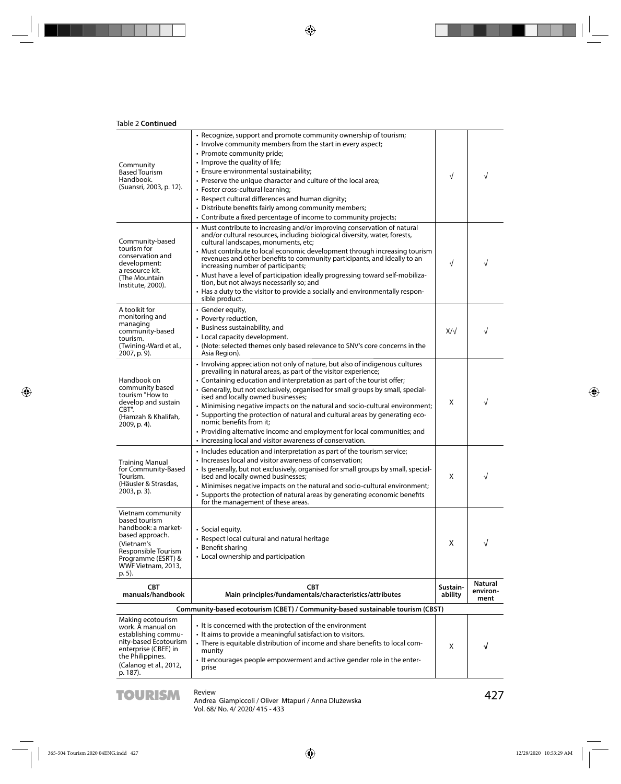| Table 2 <b>Continued</b>                                                                                                                                                 |                                                                                                                                                                                                                                                                                                                                                                                                                                                                                                                                                                                                                                                                                         |                     |                                    |
|--------------------------------------------------------------------------------------------------------------------------------------------------------------------------|-----------------------------------------------------------------------------------------------------------------------------------------------------------------------------------------------------------------------------------------------------------------------------------------------------------------------------------------------------------------------------------------------------------------------------------------------------------------------------------------------------------------------------------------------------------------------------------------------------------------------------------------------------------------------------------------|---------------------|------------------------------------|
| Community<br><b>Based Tourism</b><br>Handbook.<br>(Suansri, 2003, p. 12).                                                                                                | • Recognize, support and promote community ownership of tourism;<br>• Involve community members from the start in every aspect;<br>• Promote community pride;<br>• Improve the quality of life;<br>• Ensure environmental sustainability;<br>• Preserve the unique character and culture of the local area;<br>• Foster cross-cultural learning;<br>• Respect cultural differences and human dignity;<br>• Distribute benefits fairly among community members;<br>• Contribute a fixed percentage of income to community projects;                                                                                                                                                      | $\sqrt{}$           | $\sqrt{}$                          |
| Community-based<br>tourism for<br>conservation and<br>development:<br>a resource kit.<br>(The Mountain<br>Institute, 2000).                                              | • Must contribute to increasing and/or improving conservation of natural<br>and/or cultural resources, including biological diversity, water, forests,<br>cultural landscapes, monuments, etc;<br>• Must contribute to local economic development through increasing tourism<br>revenues and other benefits to community participants, and ideally to an<br>increasing number of participants;<br>• Must have a level of participation ideally progressing toward self-mobiliza-<br>tion, but not always necessarily so; and<br>• Has a duty to the visitor to provide a socially and environmentally respon-<br>sible product.                                                         | $\sqrt{}$           | √                                  |
| A toolkit for<br>monitoring and<br>managing<br>community-based<br>tourism.<br>(Twining-Ward et al.,<br>2007, p. 9).                                                      | • Gender equity,<br>• Poverty reduction,<br>• Business sustainability, and<br>• Local capacity development.<br>• (Note: selected themes only based relevance to SNV's core concerns in the<br>Asia Region).                                                                                                                                                                                                                                                                                                                                                                                                                                                                             | $X/\sqrt{2}$        | √                                  |
| Handbook on<br>community based<br>tourism "How to<br>develop and sustain<br>CBT".<br>(Hamzah & Khalifah,<br>2009, p. 4).                                                 | • Involving appreciation not only of nature, but also of indigenous cultures<br>prevailing in natural areas, as part of the visitor experience;<br>• Containing education and interpretation as part of the tourist offer;<br>• Generally, but not exclusively, organised for small groups by small, special-<br>ised and locally owned businesses;<br>• Minimising negative impacts on the natural and socio-cultural environment;<br>• Supporting the protection of natural and cultural areas by generating eco-<br>nomic benefits from it;<br>• Providing alternative income and employment for local communities; and<br>• increasing local and visitor awareness of conservation. | X                   | $\sqrt{}$                          |
| <b>Training Manual</b><br>for Community-Based<br>Tourism.<br>(Häusler & Strasdas,<br>2003, p. 3).                                                                        | • Includes education and interpretation as part of the tourism service;<br>• Increases local and visitor awareness of conservation;<br>· Is generally, but not exclusively, organised for small groups by small, special-<br>ised and locally owned businesses;<br>• Minimises negative impacts on the natural and socio-cultural environment;<br>• Supports the protection of natural areas by generating economic benefits<br>for the management of these areas.                                                                                                                                                                                                                      | X                   | $\sqrt{}$                          |
| Vietnam community<br>based tourism<br>handbook: a market-<br>based approach.<br>(Vietnam's<br>Responsible Tourism<br>Programme (ESRT) &<br>WWF Vietnam, 2013,<br>p. 5).  | · Social equity.<br>• Respect local cultural and natural heritage<br>• Benefit sharing<br>• Local ownership and participation                                                                                                                                                                                                                                                                                                                                                                                                                                                                                                                                                           | X                   | √                                  |
| <b>CBT</b><br>manuals/handbook                                                                                                                                           | <b>CBT</b><br>Main principles/fundamentals/characteristics/attributes                                                                                                                                                                                                                                                                                                                                                                                                                                                                                                                                                                                                                   | Sustain-<br>ability | <b>Natural</b><br>environ-<br>ment |
| Community-based ecotourism (CBET) / Community-based sustainable tourism (CBST)                                                                                           |                                                                                                                                                                                                                                                                                                                                                                                                                                                                                                                                                                                                                                                                                         |                     |                                    |
| Making ecotourism<br>work. A manual on<br>establishing commu-<br>nity-based Ecotourism<br>enterprise (CBEE) in<br>the Philippines.<br>(Calanog et al., 2012,<br>p. 187). | • It is concerned with the protection of the environment<br>• It aims to provide a meaningful satisfaction to visitors.<br>• There is equitable distribution of income and share benefits to local com-<br>munity<br>• It encourages people empowerment and active gender role in the enter-<br>prise                                                                                                                                                                                                                                                                                                                                                                                   | X                   | √                                  |

**TOURISM** Review<br>Andrea Giampiccoli / Oliver Mtapuri / Anna Dłużewska<br>**Annald Družewska** Vol. 68/ No. 4/ 2020/ 415 - 433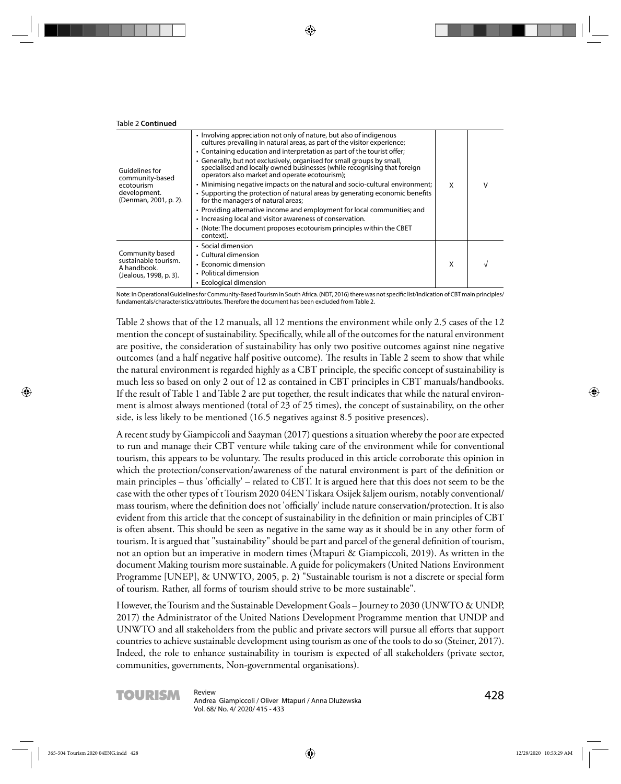| <b>Table 2 Continued</b>                                                                 |                                                                                                                                                                                                                                                                                                                                                                                                                                                                                                                                                                                                                                                                                                                                                                                                                                                                        |   |   |
|------------------------------------------------------------------------------------------|------------------------------------------------------------------------------------------------------------------------------------------------------------------------------------------------------------------------------------------------------------------------------------------------------------------------------------------------------------------------------------------------------------------------------------------------------------------------------------------------------------------------------------------------------------------------------------------------------------------------------------------------------------------------------------------------------------------------------------------------------------------------------------------------------------------------------------------------------------------------|---|---|
| Guidelines for<br>community-based<br>ecotourism<br>development.<br>(Denman, 2001, p. 2). | • Involving appreciation not only of nature, but also of indigenous<br>cultures prevailing in natural areas, as part of the visitor experience;<br>• Containing education and interpretation as part of the tourist offer;<br>• Generally, but not exclusively, organised for small groups by small,<br>specialised and locally owned businesses (while recognising that foreign<br>operators also market and operate ecotourism);<br>• Minimising negative impacts on the natural and socio-cultural environment;<br>• Supporting the protection of natural areas by generating economic benefits<br>for the managers of natural areas;<br>• Providing alternative income and employment for local communities; and<br>• Increasing local and visitor awareness of conservation.<br>• (Note: The document proposes ecotourism principles within the CBET<br>context). | X | v |
| Community based<br>sustainable tourism.<br>A handbook.<br>(Jealous, 1998, p. 3).         | • Social dimension<br>• Cultural dimension<br>$\cdot$ Economic dimension<br>• Political dimension<br>• Ecological dimension                                                                                                                                                                                                                                                                                                                                                                                                                                                                                                                                                                                                                                                                                                                                            | X |   |

Note: In Operational Guidelines for Community-Based Tourism in South Africa. (NDT, 2016) there was not specific list/indication of CBT main principles/ fundamentals/characteristics/attributes. Therefore the document has been excluded from Table 2.

Table 2 shows that of the 12 manuals, all 12 mentions the environment while only 2.5 cases of the 12 mention the concept of sustainability. Specifically, while all of the outcomes for the natural environment are positive, the consideration of sustainability has only two positive outcomes against nine negative outcomes (and a half negative half positive outcome). The results in Table 2 seem to show that while the natural environment is regarded highly as a CBT principle, the specific concept of sustainability is much less so based on only 2 out of 12 as contained in CBT principles in CBT manuals/handbooks. If the result of Table 1 and Table 2 are put together, the result indicates that while the natural environment is almost always mentioned (total of 23 of 25 times), the concept of sustainability, on the other side, is less likely to be mentioned (16.5 negatives against 8.5 positive presences).

A recent study by Giampiccoli and Saayman (2017) questions a situation whereby the poor are expected to run and manage their CBT venture while taking care of the environment while for conventional tourism, this appears to be voluntary. The results produced in this article corroborate this opinion in which the protection/conservation/awareness of the natural environment is part of the definition or main principles – thus 'officially' – related to CBT. It is argued here that this does not seem to be the case with the other types of t Tourism 2020 04EN Tiskara Osijek šaljem ourism, notably conventional/ mass tourism, where the definition does not 'officially' include nature conservation/protection. It is also evident from this article that the concept of sustainability in the definition or main principles of CBT is often absent. This should be seen as negative in the same way as it should be in any other form of tourism. It is argued that "sustainability" should be part and parcel of the general definition of tourism, not an option but an imperative in modern times (Mtapuri & Giampiccoli, 2019). As written in the document Making tourism more sustainable. A guide for policymakers (United Nations Environment Programme [UNEP], & UNWTO, 2005, p. 2) "Sustainable tourism is not a discrete or special form of tourism. Rather, all forms of tourism should strive to be more sustainable".

However, the Tourism and the Sustainable Development Goals – Journey to 2030 (UNWTO & UNDP, 2017) the Administrator of the United Nations Development Programme mention that UNDP and UNWTO and all stakeholders from the public and private sectors will pursue all efforts that support countries to achieve sustainable development using tourism as one of the tools to do so (Steiner, 2017). Indeed, the role to enhance sustainability in tourism is expected of all stakeholders (private sector, communities, governments, Non-governmental organisations).

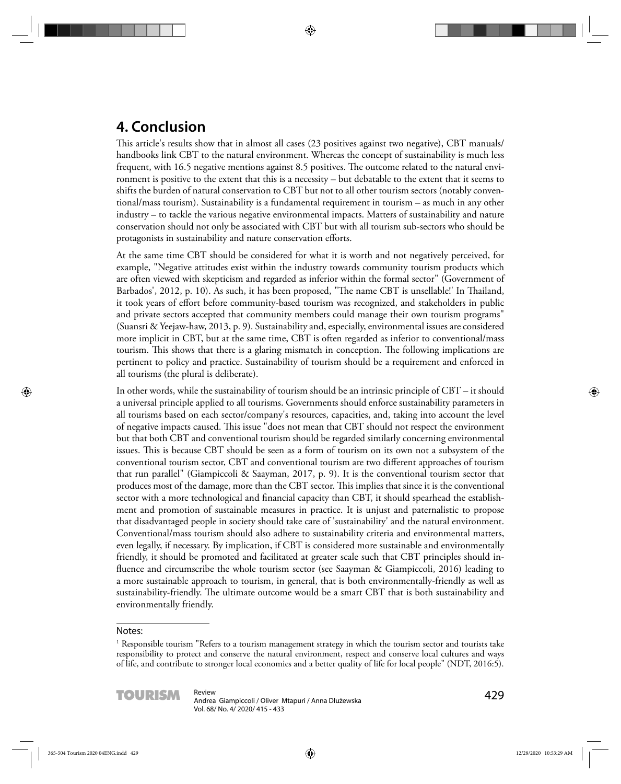# **4. Conclusion**

This article's results show that in almost all cases (23 positives against two negative), CBT manuals/ handbooks link CBT to the natural environment. Whereas the concept of sustainability is much less frequent, with 16.5 negative mentions against 8.5 positives. The outcome related to the natural environment is positive to the extent that this is a necessity – but debatable to the extent that it seems to shifts the burden of natural conservation to CBT but not to all other tourism sectors (notably conventional/mass tourism). Sustainability is a fundamental requirement in tourism – as much in any other industry – to tackle the various negative environmental impacts. Matters of sustainability and nature conservation should not only be associated with CBT but with all tourism sub-sectors who should be protagonists in sustainability and nature conservation efforts.

At the same time CBT should be considered for what it is worth and not negatively perceived, for example, "Negative attitudes exist within the industry towards community tourism products which are often viewed with skepticism and regarded as inferior within the formal sector" (Government of Barbados', 2012, p. 10). As such, it has been proposed, "The name CBT is unsellable!' In Thailand, it took years of effort before community-based tourism was recognized, and stakeholders in public and private sectors accepted that community members could manage their own tourism programs" (Suansri & Yeejaw-haw, 2013, p. 9). Sustainability and, especially, environmental issues are considered more implicit in CBT, but at the same time, CBT is often regarded as inferior to conventional/mass tourism. This shows that there is a glaring mismatch in conception. The following implications are pertinent to policy and practice. Sustainability of tourism should be a requirement and enforced in all tourisms (the plural is deliberate).

In other words, while the sustainability of tourism should be an intrinsic principle of CBT – it should a universal principle applied to all tourisms. Governments should enforce sustainability parameters in all tourisms based on each sector/company's resources, capacities, and, taking into account the level of negative impacts caused. This issue "does not mean that CBT should not respect the environment but that both CBT and conventional tourism should be regarded similarly concerning environmental issues. This is because CBT should be seen as a form of tourism on its own not a subsystem of the conventional tourism sector, CBT and conventional tourism are two different approaches of tourism that run parallel" (Giampiccoli & Saayman, 2017, p. 9). It is the conventional tourism sector that produces most of the damage, more than the CBT sector. This implies that since it is the conventional sector with a more technological and financial capacity than CBT, it should spearhead the establishment and promotion of sustainable measures in practice. It is unjust and paternalistic to propose that disadvantaged people in society should take care of 'sustainability' and the natural environment. Conventional/mass tourism should also adhere to sustainability criteria and environmental matters, even legally, if necessary. By implication, if CBT is considered more sustainable and environmentally friendly, it should be promoted and facilitated at greater scale such that CBT principles should influence and circumscribe the whole tourism sector (see Saayman & Giampiccoli, 2016) leading to a more sustainable approach to tourism, in general, that is both environmentally-friendly as well as sustainability-friendly. The ultimate outcome would be a smart CBT that is both sustainability and environmentally friendly.

#### Notes:

<sup>1</sup> Responsible tourism "Refers to a tourism management strategy in which the tourism sector and tourists take responsibility to protect and conserve the natural environment, respect and conserve local cultures and ways of life, and contribute to stronger local economies and a better quality of life for local people" (NDT, 2016:5).

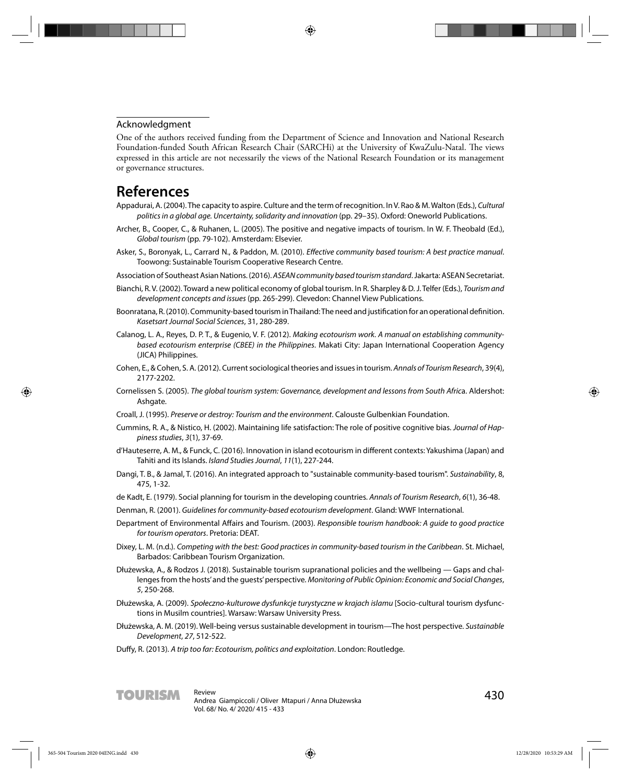#### Acknowledgment

One of the authors received funding from the Department of Science and Innovation and National Research Foundation-funded South African Research Chair (SARCHi) at the University of KwaZulu-Natal. The views expressed in this article are not necessarily the views of the National Research Foundation or its management or governance structures.

### **References**

- Appadurai, A. (2004). The capacity to aspire. Culture and the term of recognition. In V. Rao & M. Walton (Eds.), Cultural politics in a global age. Uncertainty, solidarity and innovation (pp. 29–35). Oxford: Oneworld Publications.
- Archer, B., Cooper, C., & Ruhanen, L. (2005). The positive and negative impacts of tourism. In W. F. Theobald (Ed.), Global tourism (pp. 79-102). Amsterdam: Elsevier.
- Asker, S., Boronyak, L., Carrard N., & Paddon, M. (2010). Effective community based tourism: A best practice manual. Toowong: Sustainable Tourism Cooperative Research Centre.
- Association of Southeast Asian Nations. (2016). ASEAN community based tourism standard. Jakarta: ASEAN Secretariat.
- Bianchi, R. V. (2002). Toward a new political economy of global tourism. In R. Sharpley & D. J. Telfer (Eds.), Tourism and development concepts and issues (pp. 265-299). Clevedon: Channel View Publications.
- Boonratana, R. (2010). Community-based tourism in Thailand: The need and justification for an operational definition. Kasetsart Journal Social Sciences, 31, 280-289.
- Calanog, L. A., Reyes, D. P. T., & Eugenio, V. F. (2012). Making ecotourism work. A manual on establishing communitybased ecotourism enterprise (CBEE) in the Philippines. Makati City: Japan International Cooperation Agency (JICA) Philippines.
- Cohen, E., & Cohen, S. A. (2012). Current sociological theories and issues in tourism. Annals of Tourism Research, 39(4), 2177-2202.
- Cornelissen S. (2005). The global tourism system: Governance, development and lessons from South Africa. Aldershot: Ashgate.
- Croall, J. (1995). Preserve or destroy: Tourism and the environment. Calouste Gulbenkian Foundation.
- Cummins, R. A., & Nistico, H. (2002). Maintaining life satisfaction: The role of positive cognitive bias. Journal of Happiness studies, 3(1), 37-69.
- d'Hauteserre, A. M., & Funck, C. (2016). Innovation in island ecotourism in different contexts: Yakushima (Japan) and Tahiti and its Islands. Island Studies Journal, 11(1), 227-244.
- Dangi, T. B., & Jamal, T. (2016). An integrated approach to "sustainable community-based tourism". Sustainability, 8, 475, 1-32.
- de Kadt, E. (1979). Social planning for tourism in the developing countries. Annals of Tourism Research, 6(1), 36-48.
- Denman, R. (2001). Guidelines for community-based ecotourism development. Gland: WWF International.
- Department of Environmental Affairs and Tourism. (2003). Responsible tourism handbook: A quide to good practice for tourism operators. Pretoria: DEAT.
- Dixey, L. M. (n.d.). Competing with the best: Good practices in community-based tourism in the Caribbean. St. Michael, Barbados: Caribbean Tourism Organization.
- Dłużewska, A., & Rodzos J. (2018). Sustainable tourism supranational policies and the wellbeing Gaps and challenges from the hosts' and the guests' perspective. Monitoring of Public Opinion: Economic and Social Changes, 5, 250-268.
- Dłużewska, A. (2009). Społeczno-kulturowe dysfunkcje turystyczne w krajach islamu [Socio-cultural tourism dysfunctions in Musilm countries]. Warsaw: Warsaw University Press.
- Dłużewska, A. M. (2019). Well-being versus sustainable development in tourism—The host perspective. Sustainable Development, 27, 512-522.
- Duffy, R. (2013). A trip too far: Ecotourism, politics and exploitation. London: Routledge.

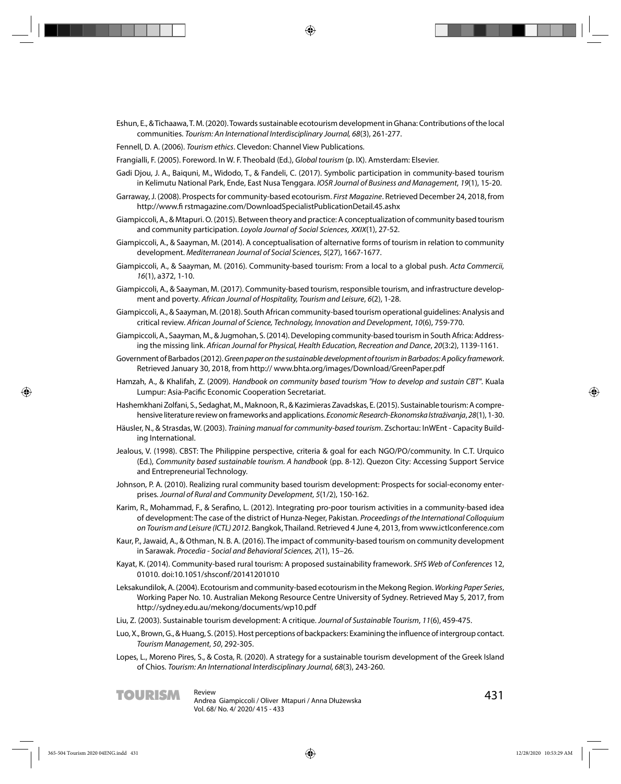Eshun, E., & Tichaawa, T. M. (2020). Towards sustainable ecotourism development in Ghana: Contributions of the local communities. Tourism: An International Interdisciplinary Journal, 68(3), 261-277.

Fennell, D. A. (2006). Tourism ethics. Clevedon: Channel View Publications.

Frangialli, F. (2005). Foreword. In W. F. Theobald (Ed.), Global tourism (p. IX). Amsterdam: Elsevier.

- Gadi Djou, J. A., Baiquni, M., Widodo, T., & Fandeli, C. (2017). Symbolic participation in community-based tourism in Kelimutu National Park, Ende, East Nusa Tenggara. IOSR Journal of Business and Management, 19(1), 15-20.
- Garraway, J. (2008). Prospects for community-based ecotourism. *First Magazine*. Retrieved December 24, 2018, from http://www.fi rstmagazine.com/DownloadSpecialistPublicationDetail.45.ashx
- Giampiccoli, A., & Mtapuri. O. (2015). Between theory and practice: A conceptualization of community based tourism and community participation. *Loyola Journal of Social Sciences, XXIX*(1), 27-52.
- Giampiccoli, A., & Saayman, M. (2014). A conceptualisation of alternative forms of tourism in relation to community development. Mediterranean Journal of Social Sciences, 5(27), 1667-1677.
- Giampiccoli, A., & Saayman, M. (2016). Community-based tourism: From a local to a global push. Acta Commercii, 16(1), a372, 1-10.
- Giampiccoli, A., & Saayman, M. (2017). Community-based tourism, responsible tourism, and infrastructure development and poverty. African Journal of Hospitality, Tourism and Leisure, 6(2), 1-28.
- Giampiccoli, A., & Saayman, M. (2018). South African community-based tourism operational guidelines: Analysis and critical review. African Journal of Science, Technology, Innovation and Development, 10(6), 759-770.
- Giampiccoli, A., Saayman, M., & Jugmohan, S. (2014). Developing community-based tourism in South Africa: Addressing the missing link. African Journal for Physical, Health Education, Recreation and Dance, 20(3:2), 1139-1161.
- Government of Barbados (2012). Green paper on the sustainable development of tourism in Barbados: A policy framework. Retrieved January 30, 2018, from http:// www.bhta.org/images/Download/GreenPaper.pdf
- Hamzah, A., & Khalifah, Z. (2009). Handbook on community based tourism "How to develop and sustain CBT". Kuala Lumpur: Asia-Pacific Economic Cooperation Secretariat.
- Hashemkhani Zolfani, S., Sedaghat, M., Maknoon, R., & Kazimieras Zavadskas, E. (2015). Sustainable tourism: A comprehensive literature review on frameworks and applications. Economic Research-Ekonomska Istraživanja, 28(1), 1-30.
- Häusler, N., & Strasdas, W. (2003). Training manual for community-based tourism. Zschortau: InWEnt Capacity Building International.
- Jealous, V. (1998). CBST: The Philippine perspective, criteria & goal for each NGO/PO/community. In C.T. Urquico (Ed.), Community based sustainable tourism. A handbook (pp. 8-12). Quezon City: Accessing Support Service and Entrepreneurial Technology.
- Johnson, P. A. (2010). Realizing rural community based tourism development: Prospects for social-economy enterprises. Journal of Rural and Community Development, 5(1/2), 150-162.
- Karim, R., Mohammad, F., & Serafino, L. (2012). Integrating pro-poor tourism activities in a community-based idea of development: The case of the district of Hunza-Neger, Pakistan. Proceedings of the International Colloquium on Tourism and Leisure (ICTL) 2012. Bangkok, Thailand. Retrieved 4 June 4, 2013, from www.ictlconference.com
- Kaur, P., Jawaid, A., & Othman, N. B. A. (2016). The impact of community-based tourism on community development in Sarawak. Procedia - Social and Behavioral Sciences, 2(1), 15–26.
- Kayat, K. (2014). Community-based rural tourism: A proposed sustainability framework. SHS Web of Conferences 12, 01010. doi:10.1051/shsconf/20141201010
- Leksakundilok, A. (2004). Ecotourism and community-based ecotourism in the Mekong Region. Working Paper Series, Working Paper No. 10. Australian Mekong Resource Centre University of Sydney. Retrieved May 5, 2017, from http://sydney.edu.au/mekong/documents/wp10.pdf
- Liu, Z. (2003). Sustainable tourism development: A critique. Journal of Sustainable Tourism, 11(6), 459-475.
- Luo, X., Brown, G., & Huang, S. (2015). Host perceptions of backpackers: Examining the influence of intergroup contact. Tourism Management, 50, 292-305.
- Lopes, L., Moreno Pires, S., & Costa, R. (2020). A strategy for a sustainable tourism development of the Greek Island of Chios. Tourism: An International Interdisciplinary Journal, 68(3), 243-260.

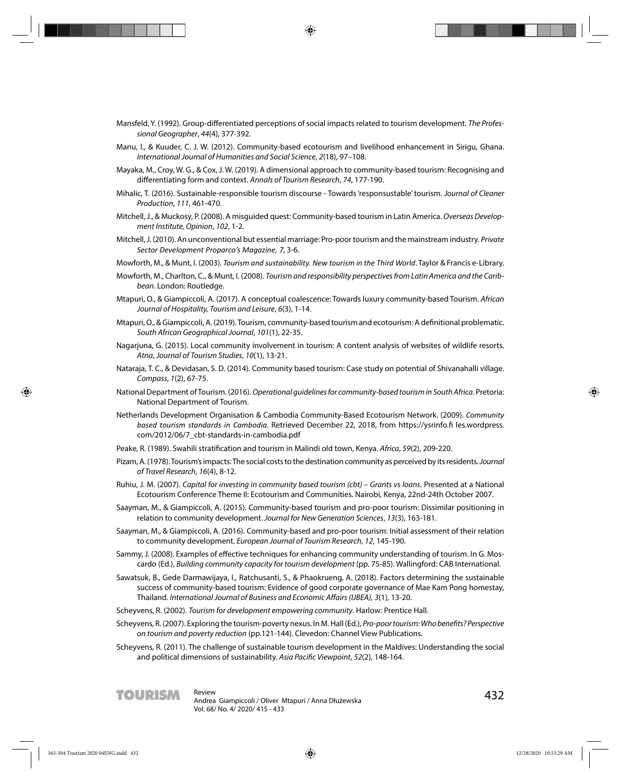- Mansfeld, Y. (1992). Group-differentiated perceptions of social impacts related to tourism development. The Professional Geographer, 44(4), 377-392.
- Manu, I., & Kuuder, C. J. W. (2012). Community-based ecotourism and livelihood enhancement in Sirigu, Ghana. International Journal of Humanities and Social Science, 2(18), 97–108.
- Mayaka, M., Croy, W. G., & Cox, J. W. (2019). A dimensional approach to community-based tourism: Recognising and differentiating form and context. Annals of Tourism Research, 74, 177-190.
- Mihalic, T. (2016). Sustainable-responsible tourism discourse Towards 'responsustable' tourism. Journal of Cleaner Production, 111, 461-470.
- Mitchell, J., & Muckosy, P. (2008). A misquided quest: Community-based tourism in Latin America. Overseas Development Institute, Opinion, 102, 1-2.
- Mitchell, J. (2010). An unconventional but essential marriage: Pro-poor tourism and the mainstream industry. *Private Sector Development Proparco's Magazine, 7*, 3-6.
- Mowforth, M., & Munt, I. (2003). *Tourism and sustainability. New tourism in the Third World*. Taylor & Francis e-Library.
- Mowforth, M., Charlton, C., & Munt, I. (2008). Tourism and responsibility perspectives from Latin America and the Caribbean. London: Routledge.
- Mtapuri, O., & Giampiccoli, A. (2017). A conceptual coalescence: Towards luxury community-based Tourism. African Journal of Hospitality, Tourism and Leisure, 6(3), 1-14.
- Mtapuri, O., & Giampiccoli, A. (2019). Tourism, community-based tourism and ecotourism: A definitional problematic. South African Geographical Journal, 101(1), 22-35.
- Nagarjuna, G. (2015). Local community involvement in tourism: A content analysis of websites of wildlife resorts. Atna, Journal of Tourism Studies, 10(1), 13-21.
- Nataraja, T. C., & Devidasan, S. D. (2014). Community based tourism: Case study on potential of Shivanahalli village. Compass, 1(2), 67-75.
- National Department of Tourism. (2016). Operational guidelines for community-based tourism in South Africa. Pretoria: National Department of Tourism.
- Netherlands Development Organisation & Cambodia Community-Based Ecotourism Network. (2009). *Community based tourism standards in Cambodia*. Retrieved December 22, 2018, from https://ysrinfo.fi les.wordpress. com/2012/06/7\_cbt-standards-in-cambodia.pdf
- Peake, R. (1989). Swahili stratification and tourism in Malindi old town, Kenya. Africa, 59(2), 209-220.
- Pizam, A. (1978). Tourism's impacts: The social costs to the destination community as perceived by its residents. Journal of Travel Research, 16(4), 8-12.
- Ruhiu, J. M. (2007). Capital for investing in community based tourism (cbt) Grants vs loans. Presented at a National Ecotourism Conference Theme II: Ecotourism and Communities. Nairobi, Kenya, 22nd-24th October 2007.
- Saayman, M., & Giampiccoli, A. (2015). Community-based tourism and pro-poor tourism: Dissimilar positioning in relation to community development. Journal for New Generation Sciences, 13(3), 163-181.
- Saayman, M., & Giampiccoli, A. (2016). Community-based and pro-poor tourism: Initial assessment of their relation to community development. European Journal of Tourism Research, 12, 145-190.
- Sammy, J. (2008). Examples of effective techniques for enhancing community understanding of tourism. In G. Moscardo (Ed.), Building community capacity for tourism development (pp. 75-85). Wallingford: CAB International.
- Sawatsuk, B., Gede Darmawijaya, I., Ratchusanti, S., & Phaokrueng, A. (2018). Factors determining the sustainable success of community-based tourism: Evidence of good corporate governance of Mae Kam Pong homestay, Thailand. International Journal of Business and Economic Affairs (IJBEA), 3(1), 13-20.
- Scheyvens, R. (2002). Tourism for development empowering community. Harlow: Prentice Hall.
- Scheyvens, R. (2007). Exploring the tourism-poverty nexus. In M. Hall (Ed.), Pro-poor tourism: Who benefits? Perspective on tourism and poverty reduction (pp.121-144). Clevedon: Channel View Publications.
- Scheyvens, R. (2011). The challenge of sustainable tourism development in the Maldives: Understanding the social and political dimensions of sustainability. Asia Pacific Viewpoint, 52(2), 148-164.